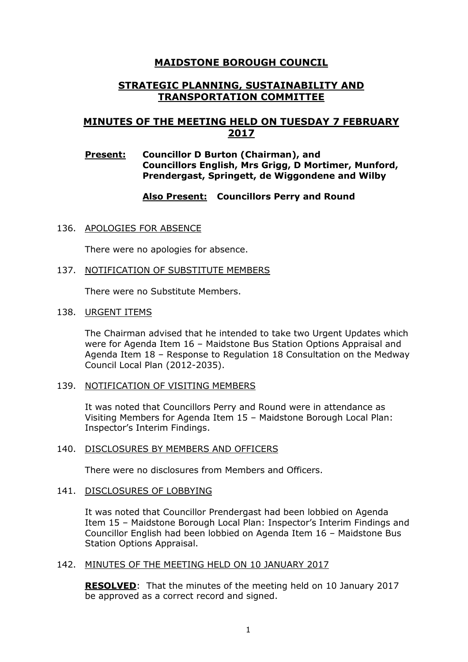# **MAIDSTONE BOROUGH COUNCIL**

## **STRATEGIC PLANNING, SUSTAINABILITY AND TRANSPORTATION COMMITTEE**

# **MINUTES OF THE MEETING HELD ON TUESDAY 7 FEBRUARY 2017**

#### **Present: Councillor D Burton (Chairman), and Councillors English, Mrs Grigg, D Mortimer, Munford, Prendergast, Springett, de Wiggondene and Wilby**

## **Also Present: Councillors Perry and Round**

136. APOLOGIES FOR ABSENCE

There were no apologies for absence.

137. NOTIFICATION OF SUBSTITUTE MEMBERS

There were no Substitute Members.

138. URGENT ITEMS

The Chairman advised that he intended to take two Urgent Updates which were for Agenda Item 16 – Maidstone Bus Station Options Appraisal and Agenda Item 18 – Response to Regulation 18 Consultation on the Medway Council Local Plan (2012-2035).

#### 139. NOTIFICATION OF VISITING MEMBERS

It was noted that Councillors Perry and Round were in attendance as Visiting Members for Agenda Item 15 – Maidstone Borough Local Plan: Inspector's Interim Findings.

#### 140. DISCLOSURES BY MEMBERS AND OFFICERS

There were no disclosures from Members and Officers.

#### 141. DISCLOSURES OF LOBBYING

It was noted that Councillor Prendergast had been lobbied on Agenda Item 15 – Maidstone Borough Local Plan: Inspector's Interim Findings and Councillor English had been lobbied on Agenda Item 16 – Maidstone Bus Station Options Appraisal.

#### 142. MINUTES OF THE MEETING HELD ON 10 JANUARY 2017

**RESOLVED**: That the minutes of the meeting held on 10 January 2017 be approved as a correct record and signed.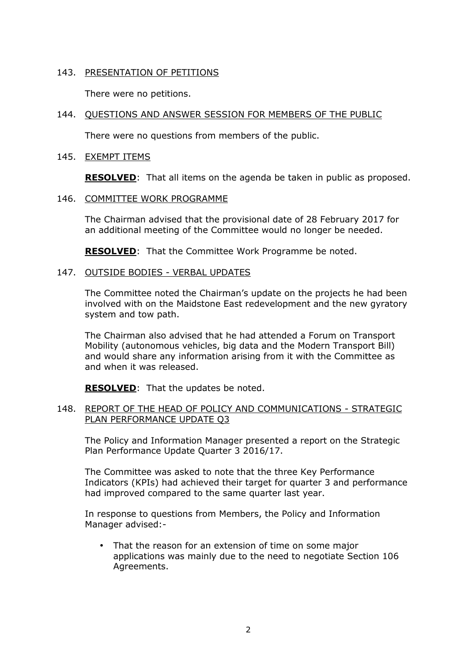## 143. PRESENTATION OF PETITIONS

There were no petitions.

### 144. QUESTIONS AND ANSWER SESSION FOR MEMBERS OF THE PUBLIC

There were no questions from members of the public.

#### 145. EXEMPT ITEMS

**RESOLVED**: That all items on the agenda be taken in public as proposed.

#### 146. COMMITTEE WORK PROGRAMME

The Chairman advised that the provisional date of 28 February 2017 for an additional meeting of the Committee would no longer be needed.

**RESOLVED**: That the Committee Work Programme be noted.

#### 147. OUTSIDE BODIES - VERBAL UPDATES

The Committee noted the Chairman's update on the projects he had been involved with on the Maidstone East redevelopment and the new gyratory system and tow path.

The Chairman also advised that he had attended a Forum on Transport Mobility (autonomous vehicles, big data and the Modern Transport Bill) and would share any information arising from it with the Committee as and when it was released.

**RESOLVED**: That the updates be noted.

#### 148. REPORT OF THE HEAD OF POLICY AND COMMUNICATIONS - STRATEGIC PLAN PERFORMANCE UPDATE Q3

The Policy and Information Manager presented a report on the Strategic Plan Performance Update Quarter 3 2016/17.

The Committee was asked to note that the three Key Performance Indicators (KPIs) had achieved their target for quarter 3 and performance had improved compared to the same quarter last year.

In response to questions from Members, the Policy and Information Manager advised:-

That the reason for an extension of time on some major applications was mainly due to the need to negotiate Section 106 Agreements.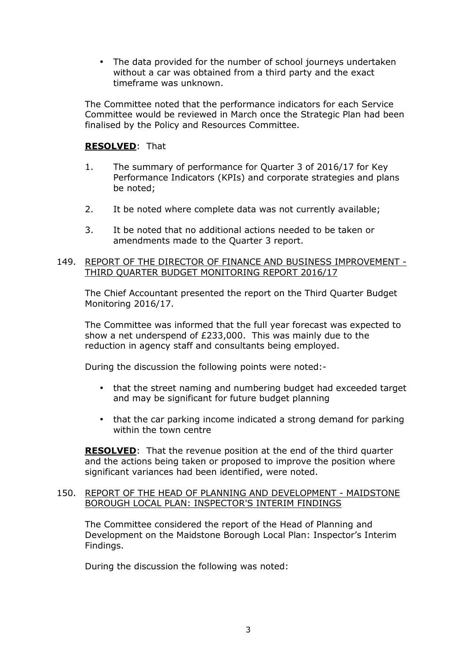• The data provided for the number of school journeys undertaken without a car was obtained from a third party and the exact timeframe was unknown.

The Committee noted that the performance indicators for each Service Committee would be reviewed in March once the Strategic Plan had been finalised by the Policy and Resources Committee.

## **RESOLVED**: That

- 1. The summary of performance for Quarter 3 of 2016/17 for Key Performance Indicators (KPIs) and corporate strategies and plans be noted;
- 2. It be noted where complete data was not currently available;
- 3. It be noted that no additional actions needed to be taken or amendments made to the Quarter 3 report.

### 149. REPORT OF THE DIRECTOR OF FINANCE AND BUSINESS IMPROVEMENT - THIRD QUARTER BUDGET MONITORING REPORT 2016/17

The Chief Accountant presented the report on the Third Quarter Budget Monitoring 2016/17.

The Committee was informed that the full year forecast was expected to show a net underspend of £233,000. This was mainly due to the reduction in agency staff and consultants being employed.

During the discussion the following points were noted:-

- that the street naming and numbering budget had exceeded target and may be significant for future budget planning
- that the car parking income indicated a strong demand for parking within the town centre

**RESOLVED**: That the revenue position at the end of the third quarter and the actions being taken or proposed to improve the position where significant variances had been identified, were noted.

#### 150. REPORT OF THE HEAD OF PLANNING AND DEVELOPMENT - MAIDSTONE BOROUGH LOCAL PLAN: INSPECTOR'S INTERIM FINDINGS

The Committee considered the report of the Head of Planning and Development on the Maidstone Borough Local Plan: Inspector's Interim Findings.

During the discussion the following was noted: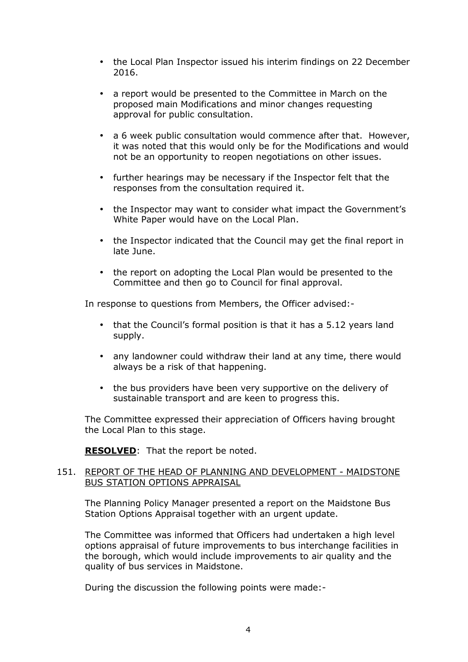- the Local Plan Inspector issued his interim findings on 22 December 2016.
- a report would be presented to the Committee in March on the proposed main Modifications and minor changes requesting approval for public consultation.
- a 6 week public consultation would commence after that. However. it was noted that this would only be for the Modifications and would not be an opportunity to reopen negotiations on other issues.
- further hearings may be necessary if the Inspector felt that the responses from the consultation required it.
- the Inspector may want to consider what impact the Government's White Paper would have on the Local Plan.
- the Inspector indicated that the Council may get the final report in late June.
- the report on adopting the Local Plan would be presented to the Committee and then go to Council for final approval.

In response to questions from Members, the Officer advised:-

- that the Council's formal position is that it has a 5.12 years land supply.
- any landowner could withdraw their land at any time, there would always be a risk of that happening.
- the bus providers have been very supportive on the delivery of sustainable transport and are keen to progress this.

The Committee expressed their appreciation of Officers having brought the Local Plan to this stage.

**RESOLVED:** That the report be noted.

#### 151. REPORT OF THE HEAD OF PLANNING AND DEVELOPMENT - MAIDSTONE BUS STATION OPTIONS APPRAISAL

The Planning Policy Manager presented a report on the Maidstone Bus Station Options Appraisal together with an urgent update.

The Committee was informed that Officers had undertaken a high level options appraisal of future improvements to bus interchange facilities in the borough, which would include improvements to air quality and the quality of bus services in Maidstone.

During the discussion the following points were made:-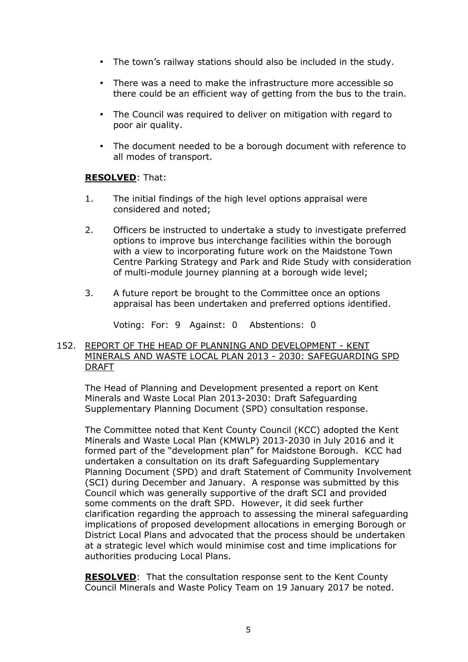- The town's railway stations should also be included in the study.
- There was a need to make the infrastructure more accessible so there could be an efficient way of getting from the bus to the train.
- The Council was required to deliver on mitigation with regard to poor air quality.
- The document needed to be a borough document with reference to all modes of transport.

#### **RESOLVED**: That:

- 1. The initial findings of the high level options appraisal were considered and noted;
- 2. Officers be instructed to undertake a study to investigate preferred options to improve bus interchange facilities within the borough with a view to incorporating future work on the Maidstone Town Centre Parking Strategy and Park and Ride Study with consideration of multi-module journey planning at a borough wide level;
- 3. A future report be brought to the Committee once an options appraisal has been undertaken and preferred options identified.

Voting: For: 9 Against: 0 Abstentions: 0

#### 152. REPORT OF THE HEAD OF PLANNING AND DEVELOPMENT - KENT MINERALS AND WASTE LOCAL PLAN 2013 - 2030: SAFEGUARDING SPD DRAFT

The Head of Planning and Development presented a report on Kent Minerals and Waste Local Plan 2013-2030: Draft Safeguarding Supplementary Planning Document (SPD) consultation response.

The Committee noted that Kent County Council (KCC) adopted the Kent Minerals and Waste Local Plan (KMWLP) 2013-2030 in July 2016 and it formed part of the "development plan" for Maidstone Borough. KCC had undertaken a consultation on its draft Safeguarding Supplementary Planning Document (SPD) and draft Statement of Community Involvement (SCI) during December and January. A response was submitted by this Council which was generally supportive of the draft SCI and provided some comments on the draft SPD. However, it did seek further clarification regarding the approach to assessing the mineral safeguarding implications of proposed development allocations in emerging Borough or District Local Plans and advocated that the process should be undertaken at a strategic level which would minimise cost and time implications for authorities producing Local Plans.

**RESOLVED**: That the consultation response sent to the Kent County Council Minerals and Waste Policy Team on 19 January 2017 be noted.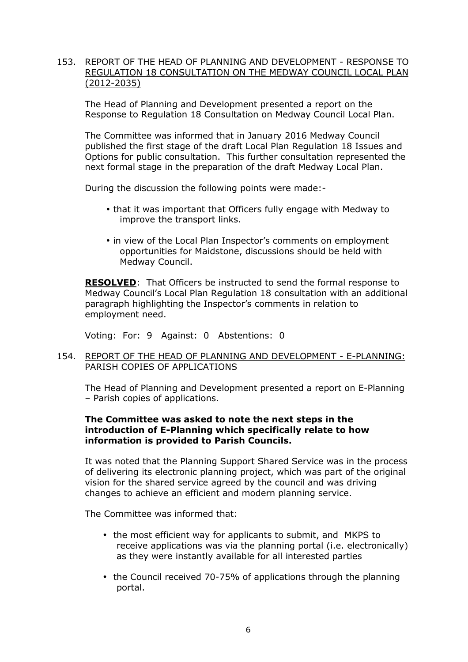### 153. REPORT OF THE HEAD OF PLANNING AND DEVELOPMENT - RESPONSE TO REGULATION 18 CONSULTATION ON THE MEDWAY COUNCIL LOCAL PLAN (2012-2035)

The Head of Planning and Development presented a report on the Response to Regulation 18 Consultation on Medway Council Local Plan.

The Committee was informed that in January 2016 Medway Council published the first stage of the draft Local Plan Regulation 18 Issues and Options for public consultation. This further consultation represented the next formal stage in the preparation of the draft Medway Local Plan.

During the discussion the following points were made:-

- that it was important that Officers fully engage with Medway to improve the transport links.
- in view of the Local Plan Inspector's comments on employment opportunities for Maidstone, discussions should be held with Medway Council.

**RESOLVED**: That Officers be instructed to send the formal response to Medway Council's Local Plan Regulation 18 consultation with an additional paragraph highlighting the Inspector's comments in relation to employment need.

Voting: For: 9 Against: 0 Abstentions: 0

### 154. REPORT OF THE HEAD OF PLANNING AND DEVELOPMENT - E-PLANNING: PARISH COPIES OF APPLICATIONS

The Head of Planning and Development presented a report on E-Planning – Parish copies of applications.

#### **The Committee was asked to note the next steps in the introduction of E-Planning which specifically relate to how information is provided to Parish Councils.**

It was noted that the Planning Support Shared Service was in the process of delivering its electronic planning project, which was part of the original vision for the shared service agreed by the council and was driving changes to achieve an efficient and modern planning service.

The Committee was informed that:

- the most efficient way for applicants to submit, and MKPS to receive applications was via the planning portal (i.e. electronically) as they were instantly available for all interested parties
- the Council received 70-75% of applications through the planning portal.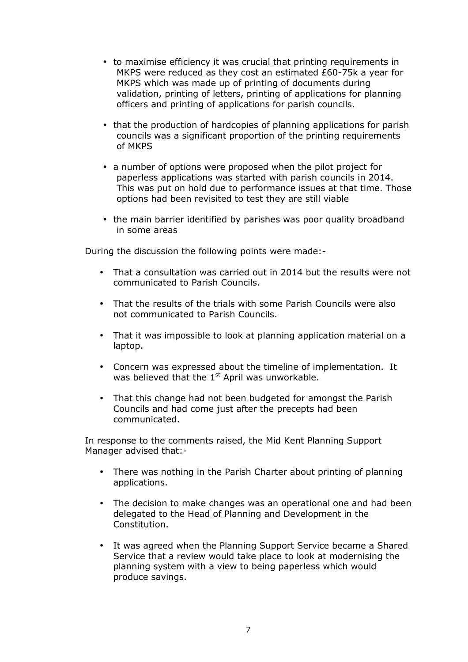- to maximise efficiency it was crucial that printing requirements in MKPS were reduced as they cost an estimated £60-75k a year for MKPS which was made up of printing of documents during validation, printing of letters, printing of applications for planning officers and printing of applications for parish councils.
- that the production of hardcopies of planning applications for parish councils was a significant proportion of the printing requirements of MKPS
- a number of options were proposed when the pilot project for paperless applications was started with parish councils in 2014. This was put on hold due to performance issues at that time. Those options had been revisited to test they are still viable
- the main barrier identified by parishes was poor quality broadband in some areas

During the discussion the following points were made:-

- That a consultation was carried out in 2014 but the results were not communicated to Parish Councils.
- That the results of the trials with some Parish Councils were also not communicated to Parish Councils.
- That it was impossible to look at planning application material on a laptop.
- Concern was expressed about the timeline of implementation. It was believed that the  $1<sup>st</sup>$  April was unworkable.
- That this change had not been budgeted for amongst the Parish Councils and had come just after the precepts had been communicated.

In response to the comments raised, the Mid Kent Planning Support Manager advised that:-

- There was nothing in the Parish Charter about printing of planning applications.
- The decision to make changes was an operational one and had been delegated to the Head of Planning and Development in the Constitution.
- It was agreed when the Planning Support Service became a Shared Service that a review would take place to look at modernising the planning system with a view to being paperless which would produce savings.